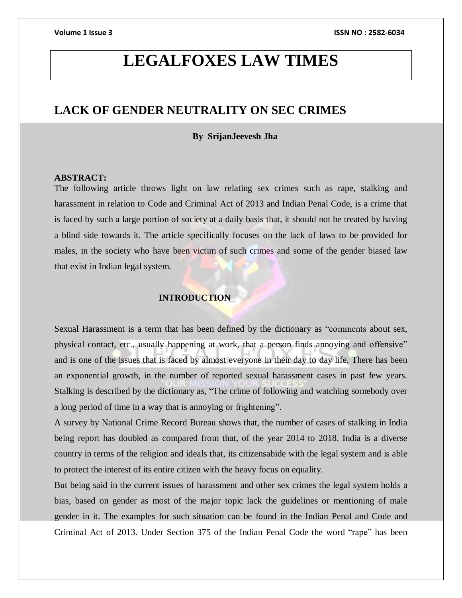# **LEGALFOXES LAW TIMES**

## **LACK OF GENDER NEUTRALITY ON SEC CRIMES**

### **By SrijanJeevesh Jha**

#### **ABSTRACT:**

The following article throws light on law relating sex crimes such as rape, stalking and harassment in relation to Code and Criminal Act of 2013 and Indian Penal Code, is a crime that is faced by such a large portion of society at a daily basis that, it should not be treated by having a blind side towards it. The article specifically focuses on the lack of laws to be provided for males, in the society who have been victim of such crimes and some of the gender biased law that exist in Indian legal system.

### **INTRODUCTION**

Sexual Harassment is a term that has been defined by the dictionary as "comments about sex, physical contact, etc., usually happening at work, that a person finds annoying and offensive" and is one of the issues that is faced by almost everyone in their day to day life. There has been an exponential growth, in the number of reported sexual harassment cases in past few years. Stalking is described by the dictionary as, "The crime of following and watching somebody over a long period of time in a way that is annoying or frightening".

A survey by National Crime Record Bureau shows that, the number of cases of stalking in India being report has doubled as compared from that, of the year 2014 to 2018. India is a diverse country in terms of the religion and ideals that, its citizensabide with the legal system and is able to protect the interest of its entire citizen with the heavy focus on equality.

But being said in the current issues of harassment and other sex crimes the legal system holds a bias, based on gender as most of the major topic lack the guidelines or mentioning of male gender in it. The examples for such situation can be found in the Indian Penal and Code and Criminal Act of 2013. Under Section 375 of the Indian Penal Code the word "rape" has been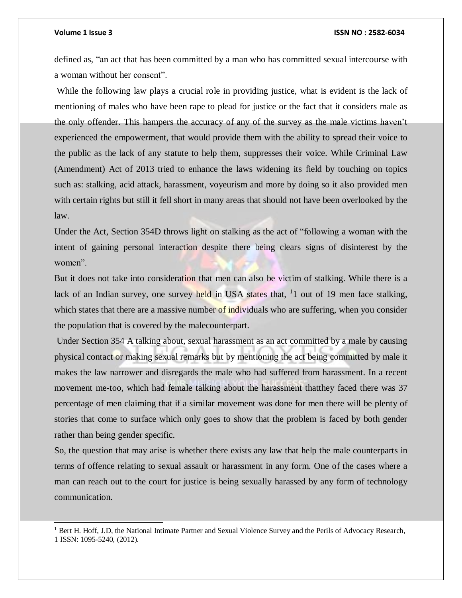l

#### **Volume 1 Issue 3 ISSN NO : 2582-6034**

defined as, "an act that has been committed by a man who has committed sexual intercourse with a woman without her consent".

While the following law plays a crucial role in providing justice, what is evident is the lack of mentioning of males who have been rape to plead for justice or the fact that it considers male as the only offender. This hampers the accuracy of any of the survey as the male victims haven't experienced the empowerment, that would provide them with the ability to spread their voice to the public as the lack of any statute to help them, suppresses their voice. While Criminal Law (Amendment) Act of 2013 tried to enhance the laws widening its field by touching on topics such as: stalking, acid attack, harassment, voyeurism and more by doing so it also provided men with certain rights but still it fell short in many areas that should not have been overlooked by the law.

Under the Act, Section 354D throws light on stalking as the act of "following a woman with the intent of gaining personal interaction despite there being clears signs of disinterest by the women".

But it does not take into consideration that men can also be victim of stalking. While there is a lack of an Indian survey, one survey held in USA states that, <sup>1</sup>1 out of 19 men face stalking, which states that there are a massive number of individuals who are suffering, when you consider the population that is covered by the malecounterpart.

Under Section 354 A talking about, sexual harassment as an act committed by a male by causing physical contact or making sexual remarks but by mentioning the act being committed by male it makes the law narrower and disregards the male who had suffered from harassment. In a recent movement me-too, which had female talking about the harassment thatthey faced there was 37 percentage of men claiming that if a similar movement was done for men there will be plenty of stories that come to surface which only goes to show that the problem is faced by both gender rather than being gender specific.

So, the question that may arise is whether there exists any law that help the male counterparts in terms of offence relating to sexual assault or harassment in any form. One of the cases where a man can reach out to the court for justice is being sexually harassed by any form of technology communication.

<sup>&</sup>lt;sup>1</sup> Bert H. Hoff, J.D, the National Intimate Partner and Sexual Violence Survey and the Perils of Advocacy Research, 1 ISSN: 1095-5240, (2012).